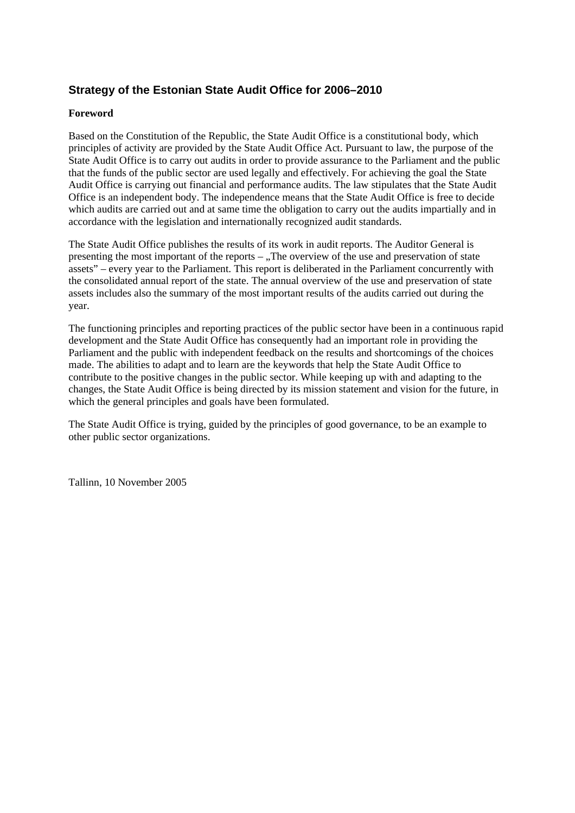# **Strategy of the Estonian State Audit Office for 2006–2010**

#### **Foreword**

Based on the Constitution of the Republic, the State Audit Office is a constitutional body, which principles of activity are provided by the State Audit Office Act. Pursuant to law, the purpose of the State Audit Office is to carry out audits in order to provide assurance to the Parliament and the public that the funds of the public sector are used legally and effectively. For achieving the goal the State Audit Office is carrying out financial and performance audits. The law stipulates that the State Audit Office is an independent body. The independence means that the State Audit Office is free to decide which audits are carried out and at same time the obligation to carry out the audits impartially and in accordance with the legislation and internationally recognized audit standards.

The State Audit Office publishes the results of its work in audit reports. The Auditor General is presenting the most important of the reports  $-$ , The overview of the use and preservation of state assets" – every year to the Parliament. This report is deliberated in the Parliament concurrently with the consolidated annual report of the state. The annual overview of the use and preservation of state assets includes also the summary of the most important results of the audits carried out during the year.

The functioning principles and reporting practices of the public sector have been in a continuous rapid development and the State Audit Office has consequently had an important role in providing the Parliament and the public with independent feedback on the results and shortcomings of the choices made. The abilities to adapt and to learn are the keywords that help the State Audit Office to contribute to the positive changes in the public sector. While keeping up with and adapting to the changes, the State Audit Office is being directed by its mission statement and vision for the future, in which the general principles and goals have been formulated.

The State Audit Office is trying, guided by the principles of good governance, to be an example to other public sector organizations.

Tallinn, 10 November 2005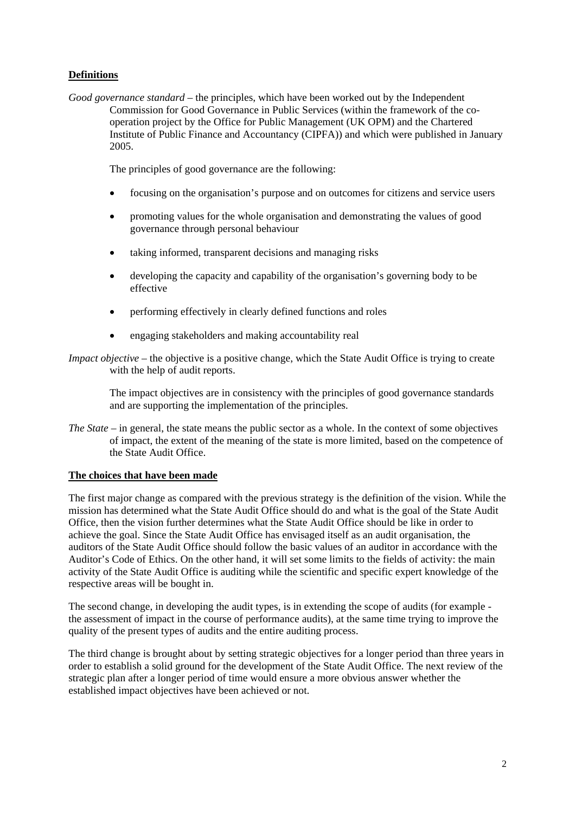## **Definitions**

*Good governance standard* – the principles, which have been worked out by the Independent Commission for Good Governance in Public Services (within the framework of the cooperation project by the Office for Public Management (UK OPM) and the Chartered Institute of Public Finance and Accountancy (CIPFA)) and which were published in January 2005.

The principles of good governance are the following:

- focusing on the organisation's purpose and on outcomes for citizens and service users
- promoting values for the whole organisation and demonstrating the values of good governance through personal behaviour
- taking informed, transparent decisions and managing risks
- developing the capacity and capability of the organisation's governing body to be effective
- performing effectively in clearly defined functions and roles
- engaging stakeholders and making accountability real
- *Impact objective* the objective is a positive change, which the State Audit Office is trying to create with the help of audit reports.

The impact objectives are in consistency with the principles of good governance standards and are supporting the implementation of the principles.

*The State* – in general, the state means the public sector as a whole. In the context of some objectives of impact, the extent of the meaning of the state is more limited, based on the competence of the State Audit Office.

#### **The choices that have been made**

The first major change as compared with the previous strategy is the definition of the vision. While the mission has determined what the State Audit Office should do and what is the goal of the State Audit Office, then the vision further determines what the State Audit Office should be like in order to achieve the goal. Since the State Audit Office has envisaged itself as an audit organisation, the auditors of the State Audit Office should follow the basic values of an auditor in accordance with the Auditor's Code of Ethics. On the other hand, it will set some limits to the fields of activity: the main activity of the State Audit Office is auditing while the scientific and specific expert knowledge of the respective areas will be bought in.

The second change, in developing the audit types, is in extending the scope of audits (for example the assessment of impact in the course of performance audits), at the same time trying to improve the quality of the present types of audits and the entire auditing process.

The third change is brought about by setting strategic objectives for a longer period than three years in order to establish a solid ground for the development of the State Audit Office. The next review of the strategic plan after a longer period of time would ensure a more obvious answer whether the established impact objectives have been achieved or not.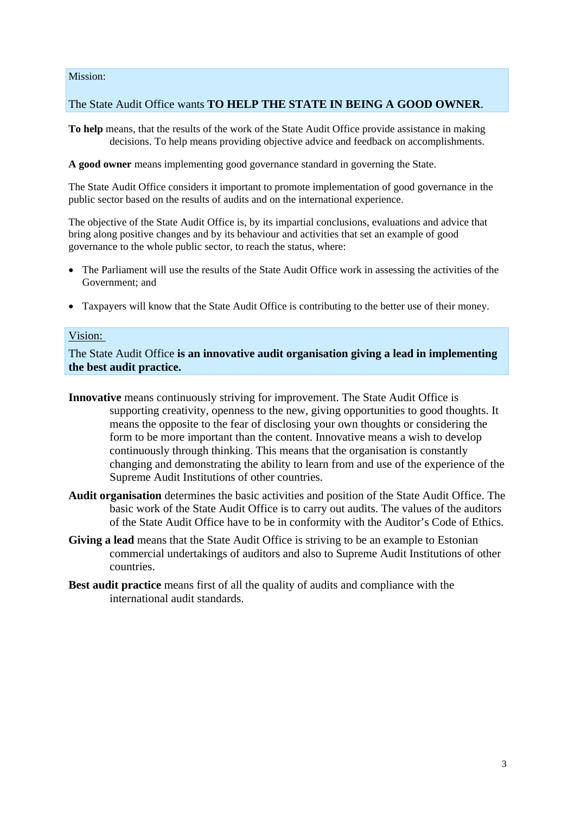Mission:

## The State Audit Office wants **TO HELP THE STATE IN BEING A GOOD OWNER**.

**To help** means, that the results of the work of the State Audit Office provide assistance in making decisions. To help means providing objective advice and feedback on accomplishments.

**A good owner** means implementing good governance standard in governing the State.

The State Audit Office considers it important to promote implementation of good governance in the public sector based on the results of audits and on the international experience.

The objective of the State Audit Office is, by its impartial conclusions, evaluations and advice that bring along positive changes and by its behaviour and activities that set an example of good governance to the whole public sector, to reach the status, where:

- The Parliament will use the results of the State Audit Office work in assessing the activities of the Government; and
- Taxpayers will know that the State Audit Office is contributing to the better use of their money.

## Vision:

The State Audit Office **is an innovative audit organisation giving a lead in implementing the best audit practice.**

- **Innovative** means continuously striving for improvement. The State Audit Office is supporting creativity, openness to the new, giving opportunities to good thoughts. It means the opposite to the fear of disclosing your own thoughts or considering the form to be more important than the content. Innovative means a wish to develop continuously through thinking. This means that the organisation is constantly changing and demonstrating the ability to learn from and use of the experience of the Supreme Audit Institutions of other countries.
- **Audit organisation** determines the basic activities and position of the State Audit Office. The basic work of the State Audit Office is to carry out audits. The values of the auditors of the State Audit Office have to be in conformity with the Auditor's Code of Ethics.
- **Giving a lead** means that the State Audit Office is striving to be an example to Estonian commercial undertakings of auditors and also to Supreme Audit Institutions of other countries.
- **Best audit practice** means first of all the quality of audits and compliance with the international audit standards.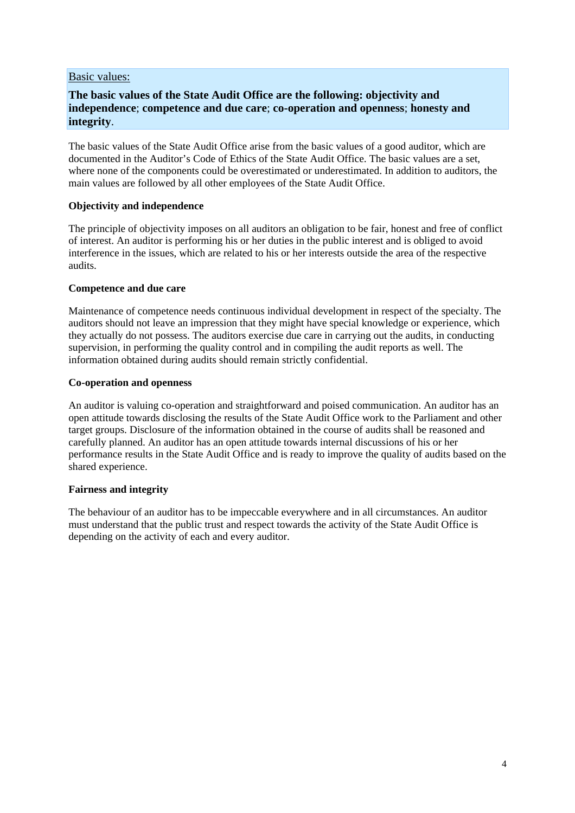#### Basic values:

## **The basic values of the State Audit Office are the following: objectivity and independence**; **competence and due care**; **co-operation and openness**; **honesty and integrity**.

The basic values of the State Audit Office arise from the basic values of a good auditor, which are documented in the Auditor's Code of Ethics of the State Audit Office. The basic values are a set, where none of the components could be overestimated or underestimated. In addition to auditors, the main values are followed by all other employees of the State Audit Office.

#### **Objectivity and independence**

The principle of objectivity imposes on all auditors an obligation to be fair, honest and free of conflict of interest. An auditor is performing his or her duties in the public interest and is obliged to avoid interference in the issues, which are related to his or her interests outside the area of the respective audits.

#### **Competence and due care**

Maintenance of competence needs continuous individual development in respect of the specialty. The auditors should not leave an impression that they might have special knowledge or experience, which they actually do not possess. The auditors exercise due care in carrying out the audits, in conducting supervision, in performing the quality control and in compiling the audit reports as well. The information obtained during audits should remain strictly confidential.

#### **Co-operation and openness**

An auditor is valuing co-operation and straightforward and poised communication. An auditor has an open attitude towards disclosing the results of the State Audit Office work to the Parliament and other target groups. Disclosure of the information obtained in the course of audits shall be reasoned and carefully planned. An auditor has an open attitude towards internal discussions of his or her performance results in the State Audit Office and is ready to improve the quality of audits based on the shared experience.

### **Fairness and integrity**

The behaviour of an auditor has to be impeccable everywhere and in all circumstances. An auditor must understand that the public trust and respect towards the activity of the State Audit Office is depending on the activity of each and every auditor.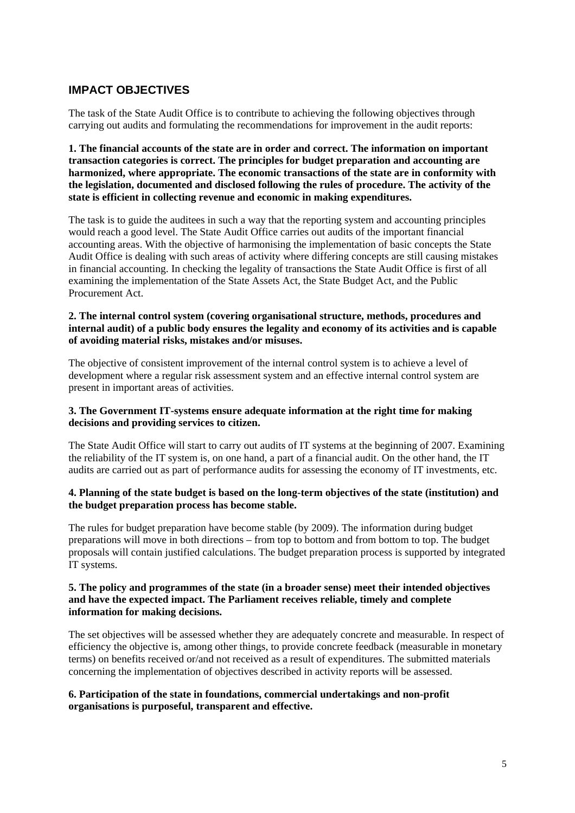# **IMPACT OBJECTIVES**

The task of the State Audit Office is to contribute to achieving the following objectives through carrying out audits and formulating the recommendations for improvement in the audit reports:

**1. The financial accounts of the state are in order and correct. The information on important transaction categories is correct. The principles for budget preparation and accounting are harmonized, where appropriate. The economic transactions of the state are in conformity with the legislation, documented and disclosed following the rules of procedure. The activity of the state is efficient in collecting revenue and economic in making expenditures.** 

The task is to guide the auditees in such a way that the reporting system and accounting principles would reach a good level. The State Audit Office carries out audits of the important financial accounting areas. With the objective of harmonising the implementation of basic concepts the State Audit Office is dealing with such areas of activity where differing concepts are still causing mistakes in financial accounting. In checking the legality of transactions the State Audit Office is first of all examining the implementation of the State Assets Act, the State Budget Act, and the Public Procurement Act.

#### **2. The internal control system (covering organisational structure, methods, procedures and internal audit) of a public body ensures the legality and economy of its activities and is capable of avoiding material risks, mistakes and/or misuses.**

The objective of consistent improvement of the internal control system is to achieve a level of development where a regular risk assessment system and an effective internal control system are present in important areas of activities.

#### **3. The Government IT-systems ensure adequate information at the right time for making decisions and providing services to citizen.**

The State Audit Office will start to carry out audits of IT systems at the beginning of 2007. Examining the reliability of the IT system is, on one hand, a part of a financial audit. On the other hand, the IT audits are carried out as part of performance audits for assessing the economy of IT investments, etc.

#### **4. Planning of the state budget is based on the long-term objectives of the state (institution) and the budget preparation process has become stable.**

The rules for budget preparation have become stable (by 2009). The information during budget preparations will move in both directions – from top to bottom and from bottom to top. The budget proposals will contain justified calculations. The budget preparation process is supported by integrated IT systems.

#### **5. The policy and programmes of the state (in a broader sense) meet their intended objectives and have the expected impact. The Parliament receives reliable, timely and complete information for making decisions.**

The set objectives will be assessed whether they are adequately concrete and measurable. In respect of efficiency the objective is, among other things, to provide concrete feedback (measurable in monetary terms) on benefits received or/and not received as a result of expenditures. The submitted materials concerning the implementation of objectives described in activity reports will be assessed.

#### **6. Participation of the state in foundations, commercial undertakings and non-profit organisations is purposeful, transparent and effective.**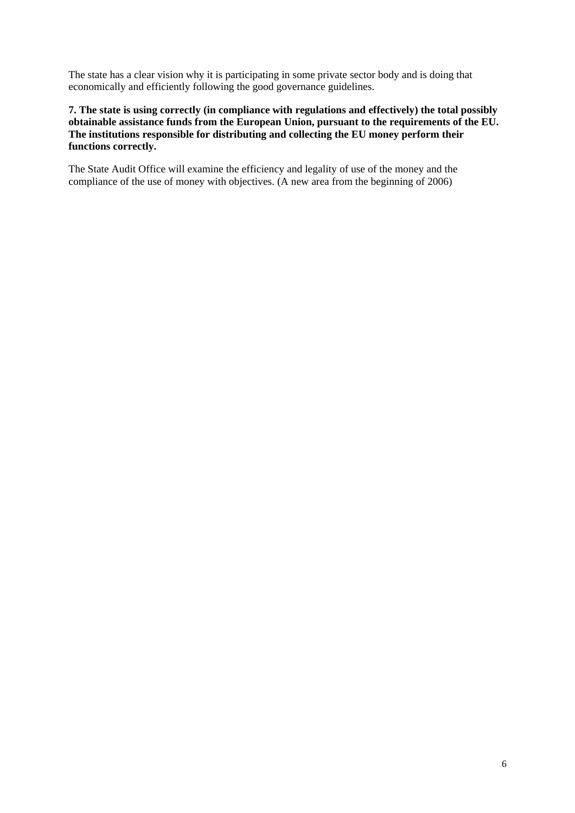The state has a clear vision why it is participating in some private sector body and is doing that economically and efficiently following the good governance guidelines.

#### **7. The state is using correctly (in compliance with regulations and effectively) the total possibly obtainable assistance funds from the European Union, pursuant to the requirements of the EU. The institutions responsible for distributing and collecting the EU money perform their functions correctly.**

The State Audit Office will examine the efficiency and legality of use of the money and the compliance of the use of money with objectives. (A new area from the beginning of 2006)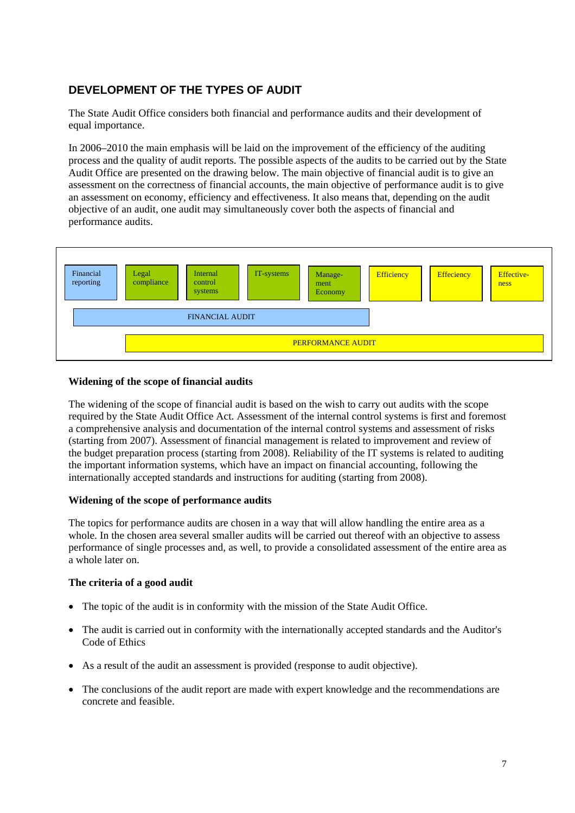# **DEVELOPMENT OF THE TYPES OF AUDIT**

The State Audit Office considers both financial and performance audits and their development of equal importance.

In 2006–2010 the main emphasis will be laid on the improvement of the efficiency of the auditing process and the quality of audit reports. The possible aspects of the audits to be carried out by the State Audit Office are presented on the drawing below. The main objective of financial audit is to give an assessment on the correctness of financial accounts, the main objective of performance audit is to give an assessment on economy, efficiency and effectiveness. It also means that, depending on the audit objective of an audit, one audit may simultaneously cover both the aspects of financial and performance audits.



#### **Widening of the scope of financial audits**

The widening of the scope of financial audit is based on the wish to carry out audits with the scope required by the State Audit Office Act. Assessment of the internal control systems is first and foremost a comprehensive analysis and documentation of the internal control systems and assessment of risks (starting from 2007). Assessment of financial management is related to improvement and review of the budget preparation process (starting from 2008). Reliability of the IT systems is related to auditing the important information systems, which have an impact on financial accounting, following the internationally accepted standards and instructions for auditing (starting from 2008).

#### **Widening of the scope of performance audits**

The topics for performance audits are chosen in a way that will allow handling the entire area as a whole. In the chosen area several smaller audits will be carried out thereof with an objective to assess performance of single processes and, as well, to provide a consolidated assessment of the entire area as a whole later on.

#### **The criteria of a good audit**

- The topic of the audit is in conformity with the mission of the State Audit Office.
- The audit is carried out in conformity with the internationally accepted standards and the Auditor's Code of Ethics
- As a result of the audit an assessment is provided (response to audit objective).
- The conclusions of the audit report are made with expert knowledge and the recommendations are concrete and feasible.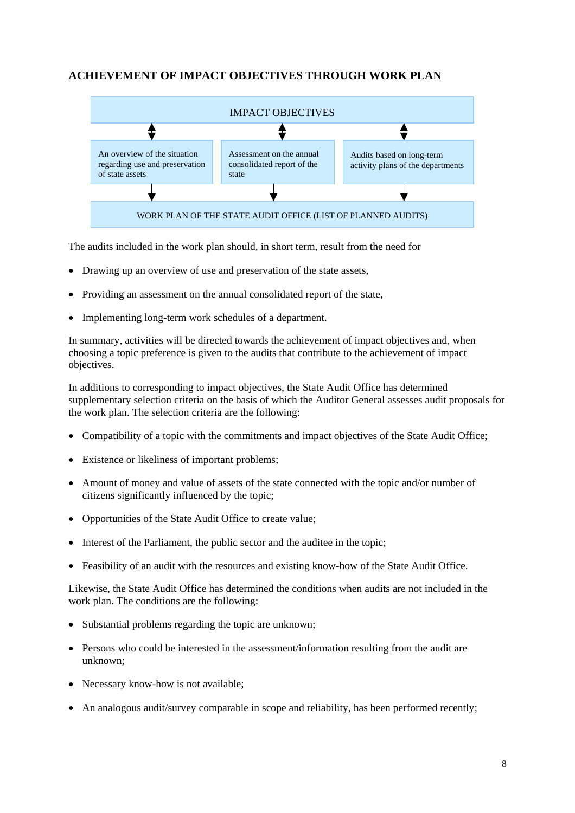# **ACHIEVEMENT OF IMPACT OBJECTIVES THROUGH WORK PLAN**



The audits included in the work plan should, in short term, result from the need for

- Drawing up an overview of use and preservation of the state assets.
- Providing an assessment on the annual consolidated report of the state,
- Implementing long-term work schedules of a department.

In summary, activities will be directed towards the achievement of impact objectives and, when choosing a topic preference is given to the audits that contribute to the achievement of impact objectives.

In additions to corresponding to impact objectives, the State Audit Office has determined supplementary selection criteria on the basis of which the Auditor General assesses audit proposals for the work plan. The selection criteria are the following:

- Compatibility of a topic with the commitments and impact objectives of the State Audit Office;
- Existence or likeliness of important problems;
- Amount of money and value of assets of the state connected with the topic and/or number of citizens significantly influenced by the topic;
- Opportunities of the State Audit Office to create value;
- Interest of the Parliament, the public sector and the auditee in the topic;
- Feasibility of an audit with the resources and existing know-how of the State Audit Office.

Likewise, the State Audit Office has determined the conditions when audits are not included in the work plan. The conditions are the following:

- Substantial problems regarding the topic are unknown;
- Persons who could be interested in the assessment/information resulting from the audit are unknown;
- Necessary know-how is not available;
- An analogous audit/survey comparable in scope and reliability, has been performed recently;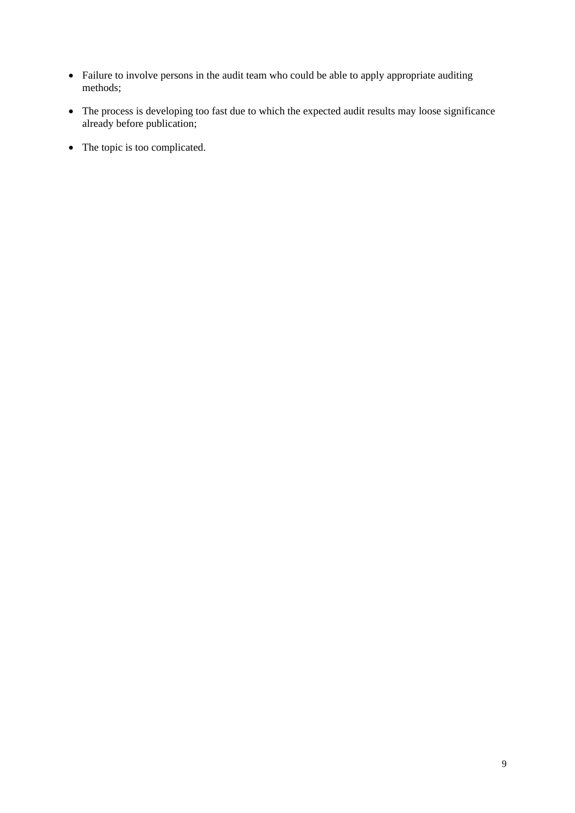- Failure to involve persons in the audit team who could be able to apply appropriate auditing methods;
- The process is developing too fast due to which the expected audit results may loose significance already before publication;
- The topic is too complicated.